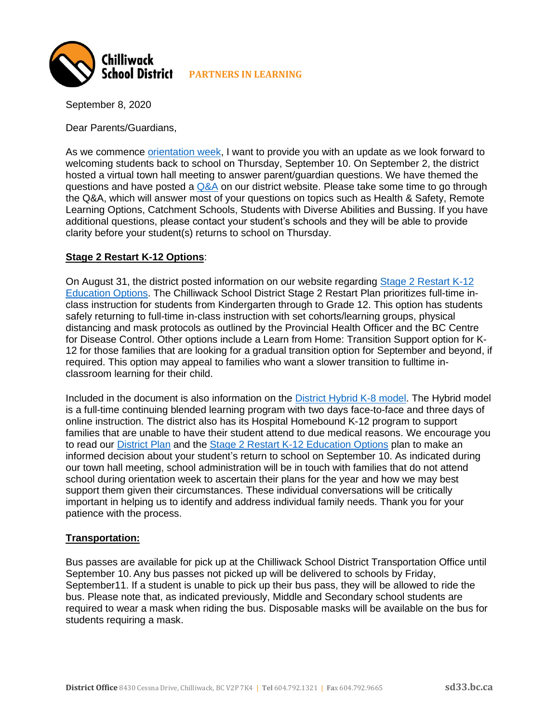

September 8, 2020

Dear Parents/Guardians,

As we commence [orientation week,](https://news.gov.bc.ca/releases/2020EDUC0054-001506) I want to provide you with an update as we look forward to welcoming students back to school on Thursday, September 10. On September 2, the district hosted a virtual town hall meeting to answer parent/guardian questions. We have themed the questions and have posted a  $Q&A$  on our district website. Please take some time to go through the Q&A, which will answer most of your questions on topics such as Health & Safety, Remote Learning Options, Catchment Schools, Students with Diverse Abilities and Bussing. If you have additional questions, please contact your student's schools and they will be able to provide clarity before your student(s) returns to school on Thursday.

## **Stage 2 Restart K-12 Options**:

On August 31, the district posted information on our website regarding [Stage 2 Restart K-12](https://sd33.bc.ca/sites/sd33.bc.ca/files/2020-08/Staged%20Restart%20K%20-%2012%20Ed%20Options.pdf)  [Education Options.](https://sd33.bc.ca/sites/sd33.bc.ca/files/2020-08/Staged%20Restart%20K%20-%2012%20Ed%20Options.pdf) The Chilliwack School District Stage 2 Restart Plan prioritizes full-time inclass instruction for students from Kindergarten through to Grade 12. This option has students safely returning to full-time in-class instruction with set cohorts/learning groups, physical distancing and mask protocols as outlined by the Provincial Health Officer and the BC Centre for Disease Control. Other options include a Learn from Home: Transition Support option for K-12 for those families that are looking for a gradual transition option for September and beyond, if required. This option may appeal to families who want a slower transition to fulltime inclassroom learning for their child.

Included in the document is also information on the [District Hybrid K-8 model.](https://sd33.bc.ca/hybrid-learning) The Hybrid model is a full-time continuing blended learning program with two days face-to-face and three days of online instruction. The district also has its Hospital Homebound K-12 program to support families that are unable to have their student attend to due medical reasons. We encourage you to read our **District Plan** and the **Stage 2 Restart K-12 Education Options plan to make an** informed decision about your student's return to school on September 10. As indicated during our town hall meeting, school administration will be in touch with families that do not attend school during orientation week to ascertain their plans for the year and how we may best support them given their circumstances. These individual conversations will be critically important in helping us to identify and address individual family needs. Thank you for your patience with the process.

## **Transportation:**

Bus passes are available for pick up at the Chilliwack School District Transportation Office until September 10. Any bus passes not picked up will be delivered to schools by Friday, September11. If a student is unable to pick up their bus pass, they will be allowed to ride the bus. Please note that, as indicated previously, Middle and Secondary school students are required to wear a mask when riding the bus. Disposable masks will be available on the bus for students requiring a mask.